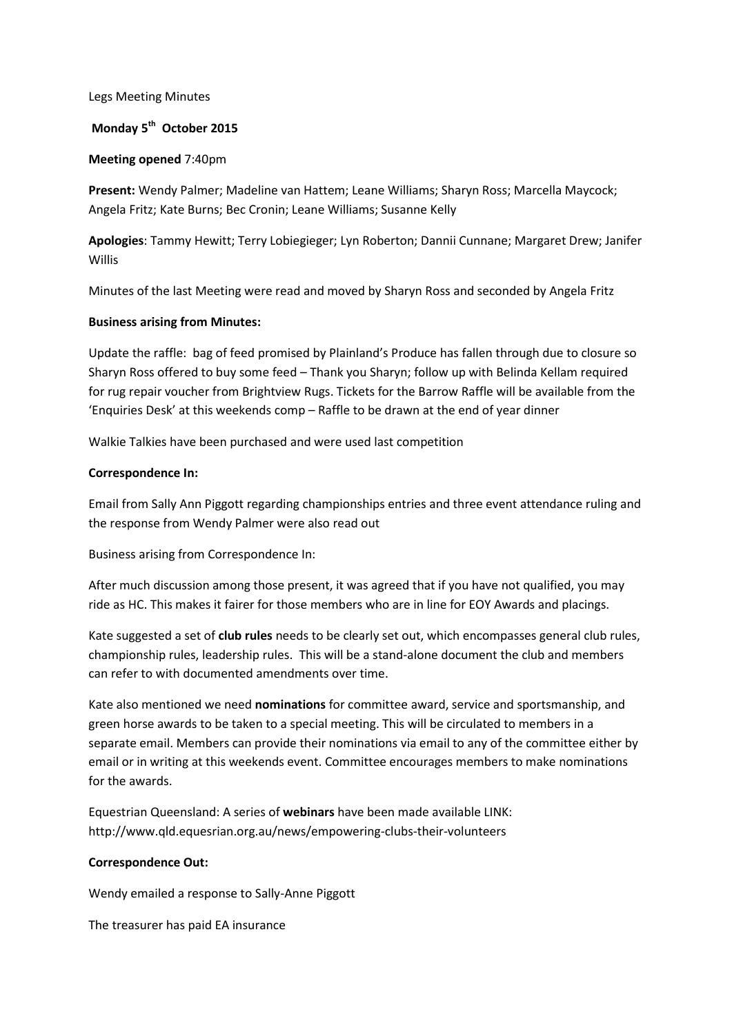### Legs Meeting Minutes

# **Monday 5 th October 2015**

### **Meeting opened** 7:40pm

**Present:** Wendy Palmer; Madeline van Hattem; Leane Williams; Sharyn Ross; Marcella Maycock; Angela Fritz; Kate Burns; Bec Cronin; Leane Williams; Susanne Kelly

**Apologies**: Tammy Hewitt; Terry Lobiegieger; Lyn Roberton; Dannii Cunnane; Margaret Drew; Janifer Willis

Minutes of the last Meeting were read and moved by Sharyn Ross and seconded by Angela Fritz

### **Business arising from Minutes:**

Update the raffle: bag of feed promised by Plainland's Produce has fallen through due to closure so Sharyn Ross offered to buy some feed – Thank you Sharyn; follow up with Belinda Kellam required for rug repair voucher from Brightview Rugs. Tickets for the Barrow Raffle will be available from the 'Enquiries Desk' at this weekends comp – Raffle to be drawn at the end of year dinner

Walkie Talkies have been purchased and were used last competition

### **Correspondence In:**

Email from Sally Ann Piggott regarding championships entries and three event attendance ruling and the response from Wendy Palmer were also read out

Business arising from Correspondence In:

After much discussion among those present, it was agreed that if you have not qualified, you may ride as HC. This makes it fairer for those members who are in line for EOY Awards and placings.

Kate suggested a set of **club rules** needs to be clearly set out, which encompasses general club rules, championship rules, leadership rules. This will be a stand-alone document the club and members can refer to with documented amendments over time.

Kate also mentioned we need **nominations** for committee award, service and sportsmanship, and green horse awards to be taken to a special meeting. This will be circulated to members in a separate email. Members can provide their nominations via email to any of the committee either by email or in writing at this weekends event. Committee encourages members to make nominations for the awards.

Equestrian Queensland: A series of **webinars** have been made available LINK: http://www.qld.equesrian.org.au/news/empowering-clubs-their-volunteers

#### **Correspondence Out:**

Wendy emailed a response to Sally-Anne Piggott

The treasurer has paid EA insurance